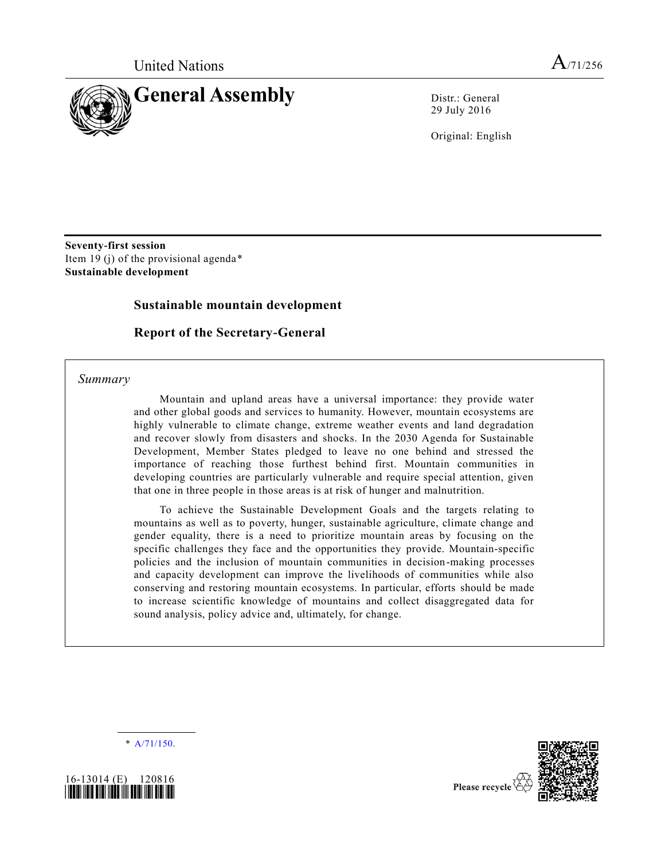

29 July 2016

Original: English

**Seventy-first session**  Item 19 (j) of the provisional agenda\* **Sustainable development**

## **Sustainable mountain development**

## **Report of the Secretary-General**

#### *Summary*

Mountain and upland areas have a universal importance: they provide water and other global goods and services to humanity. However, mountain ecosystems are highly vulnerable to climate change, extreme weather events and land degradation and recover slowly from disasters and shocks. In the 2030 Agenda for Sustainable Development, Member States pledged to leave no one behind and stressed the importance of reaching those furthest behind first. Mountain communities in developing countries are particularly vulnerable and require special attention, given that one in three people in those areas is at risk of hunger and malnutrition.

To achieve the Sustainable Development Goals and the targets relating to mountains as well as to poverty, hunger, sustainable agriculture, climate change and gender equality, there is a need to prioritize mountain areas by focusing on the specific challenges they face and the opportunities they provide. Mountain-specific policies and the inclusion of mountain communities in decision-making processes and capacity development can improve the livelihoods of communities while also conserving and restoring mountain ecosystems. In particular, efforts should be made to increase scientific knowledge of mountains and collect disaggregated data for sound analysis, policy advice and, ultimately, for change.

\* [A/71/150.](http://undocs.org/A/71/150)



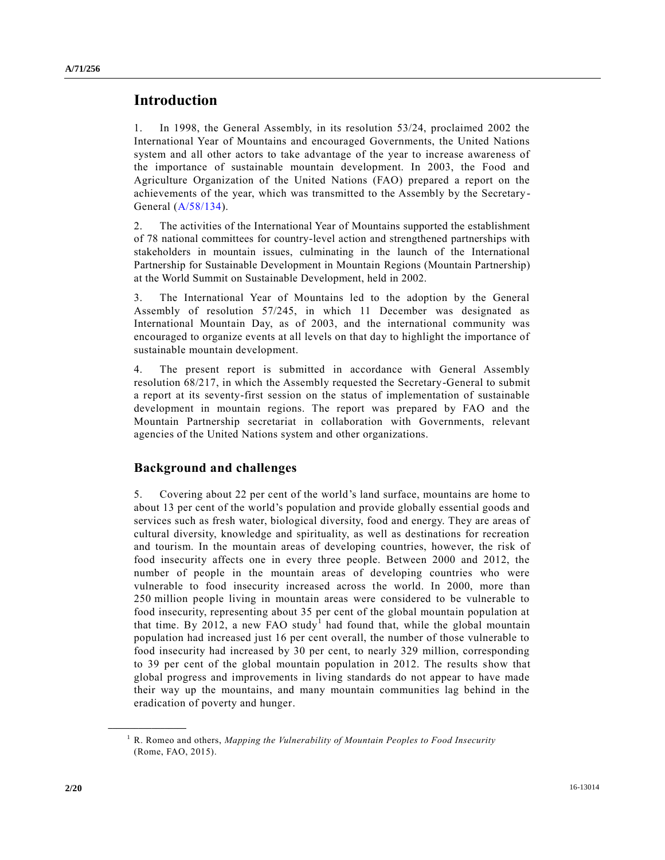# **Introduction**

1. In 1998, the General Assembly, in its resolution 53/24, proclaimed 2002 the International Year of Mountains and encouraged Governments, the United Nations system and all other actors to take advantage of the year to increase awareness of the importance of sustainable mountain development. In 2003, the Food and Agriculture Organization of the United Nations (FAO) prepared a report on the achievements of the year, which was transmitted to the Assembly by the Secretary - General [\(A/58/134\)](http://undocs.org/A/58/134).

2. The activities of the International Year of Mountains supported the establishment of 78 national committees for country-level action and strengthened partnerships with stakeholders in mountain issues, culminating in the launch of the International Partnership for Sustainable Development in Mountain Regions (Mountain Partnership) at the World Summit on Sustainable Development, held in 2002.

3. The International Year of Mountains led to the adoption by the General Assembly of resolution 57/245, in which 11 December was designated as International Mountain Day, as of 2003, and the international community was encouraged to organize events at all levels on that day to highlight the importance of sustainable mountain development.

4. The present report is submitted in accordance with General Assembly resolution 68/217, in which the Assembly requested the Secretary-General to submit a report at its seventy-first session on the status of implementation of sustainable development in mountain regions. The report was prepared by FAO and the Mountain Partnership secretariat in collaboration with Governments, relevant agencies of the United Nations system and other organizations.

# **Background and challenges**

5. Covering about 22 per cent of the world's land surface, mountains are home to about 13 per cent of the world's population and provide globally essential goods and services such as fresh water, biological diversity, food and energy. They are areas of cultural diversity, knowledge and spirituality, as well as destinations for recreation and tourism. In the mountain areas of developing countries, however, the risk of food insecurity affects one in every three people. Between 2000 and 2012, the number of people in the mountain areas of developing countries who were vulnerable to food insecurity increased across the world. In 2000, more than 250 million people living in mountain areas were considered to be vulnerable to food insecurity, representing about 35 per cent of the global mountain population at that time. By 2012, a new FAO study<sup>1</sup> had found that, while the global mountain population had increased just 16 per cent overall, the number of those vulnerable to food insecurity had increased by 30 per cent, to nearly 329 million, corresponding to 39 per cent of the global mountain population in 2012. The results show that global progress and improvements in living standards do not appear to have made their way up the mountains, and many mountain communities lag behind in the eradication of poverty and hunger.

<sup>1</sup> R. Romeo and others, *Mapping the Vulnerability of Mountain Peoples to Food Insecurity* (Rome, FAO, 2015).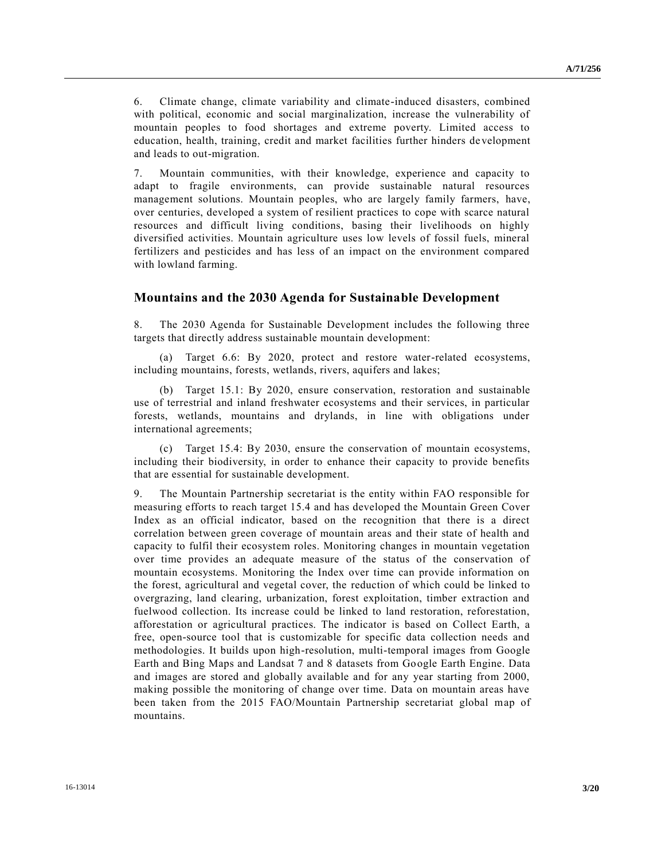6. Climate change, climate variability and climate-induced disasters, combined with political, economic and social marginalization, increase the vulnerability of mountain peoples to food shortages and extreme poverty. Limited access to education, health, training, credit and market facilities further hinders de velopment and leads to out-migration.

7. Mountain communities, with their knowledge, experience and capacity to adapt to fragile environments, can provide sustainable natural resources management solutions. Mountain peoples, who are largely family farmers, have, over centuries, developed a system of resilient practices to cope with scarce natural resources and difficult living conditions, basing their livelihoods on highly diversified activities. Mountain agriculture uses low levels of fossil fuels, mineral fertilizers and pesticides and has less of an impact on the environment compared with lowland farming.

#### **Mountains and the 2030 Agenda for Sustainable Development**

8. The 2030 Agenda for Sustainable Development includes the following three targets that directly address sustainable mountain development:

Target 6.6: By 2020, protect and restore water-related ecosystems, including mountains, forests, wetlands, rivers, aquifers and lakes;

(b) Target 15.1: By 2020, ensure conservation, restoration and sustainable use of terrestrial and inland freshwater ecosystems and their services, in particular forests, wetlands, mountains and drylands, in line with obligations under international agreements;

(c) Target 15.4: By 2030, ensure the conservation of mountain ecosystems, including their biodiversity, in order to enhance their capacity to provide benefits that are essential for sustainable development.

9. The Mountain Partnership secretariat is the entity within FAO responsible for measuring efforts to reach target 15.4 and has developed the Mountain Green Cover Index as an official indicator, based on the recognition that there is a direct correlation between green coverage of mountain areas and their state of health and capacity to fulfil their ecosystem roles. Monitoring changes in mountain vegetation over time provides an adequate measure of the status of the conservation of mountain ecosystems. Monitoring the Index over time can provide information on the forest, agricultural and vegetal cover, the reduction of which could be linked to overgrazing, land clearing, urbanization, forest exploitation, timber extraction and fuelwood collection. Its increase could be linked to land restoration, reforestation, afforestation or agricultural practices. The indicator is based on Collect Earth, a free, open-source tool that is customizable for specific data collection needs and methodologies. It builds upon high-resolution, multi-temporal images from Google Earth and Bing Maps and Landsat 7 and 8 datasets from Google Earth Engine. Data and images are stored and globally available and for any year starting from 2000, making possible the monitoring of change over time. Data on mountain areas have been taken from the 2015 FAO/Mountain Partnership secretariat global map of mountains.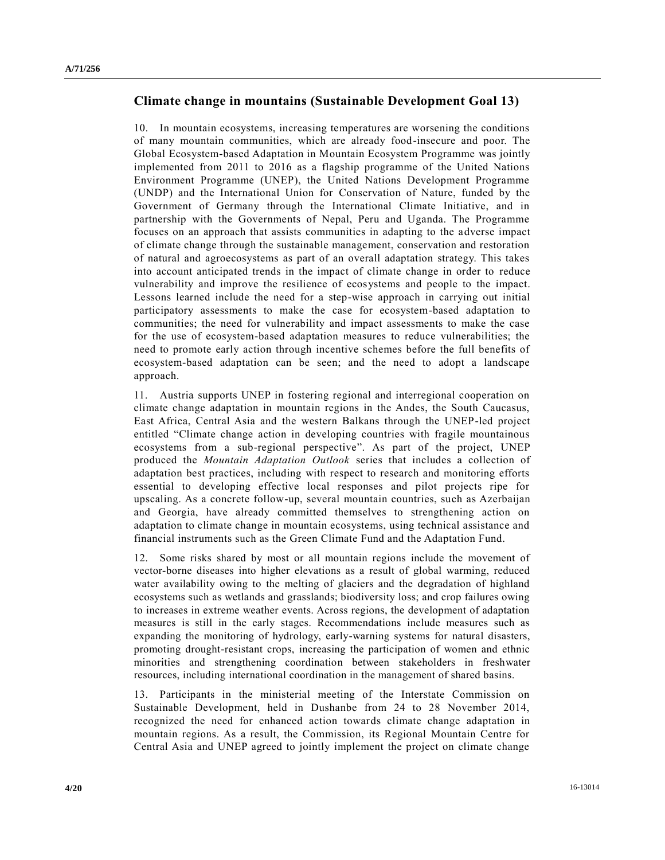## **Climate change in mountains (Sustainable Development Goal 13)**

10. In mountain ecosystems, increasing temperatures are worsening the conditions of many mountain communities, which are already food-insecure and poor. The Global Ecosystem-based Adaptation in Mountain Ecosystem Programme was jointly implemented from 2011 to 2016 as a flagship programme of the United Nations Environment Programme (UNEP), the United Nations Development Programme (UNDP) and the International Union for Conservation of Nature, funded by the Government of Germany through the International Climate Initiative, and in partnership with the Governments of Nepal, Peru and Uganda. The Programme focuses on an approach that assists communities in adapting to the adverse impact of climate change through the sustainable management, conservation and restoration of natural and agroecosystems as part of an overall adaptation strategy. This takes into account anticipated trends in the impact of climate change in order to reduce vulnerability and improve the resilience of ecosystems and people to the impact. Lessons learned include the need for a step-wise approach in carrying out initial participatory assessments to make the case for ecosystem-based adaptation to communities; the need for vulnerability and impact assessments to make the case for the use of ecosystem-based adaptation measures to reduce vulnerabilities; the need to promote early action through incentive schemes before the full benefits of ecosystem-based adaptation can be seen; and the need to adopt a landscape approach.

11. Austria supports UNEP in fostering regional and interregional cooperation on climate change adaptation in mountain regions in the Andes, the South Caucasus, East Africa, Central Asia and the western Balkans through the UNEP-led project entitled "Climate change action in developing countries with fragile mountainous ecosystems from a sub-regional perspective". As part of the project, UNEP produced the *Mountain Adaptation Outlook* series that includes a collection of adaptation best practices, including with respect to research and monitoring efforts essential to developing effective local responses and pilot projects ripe for upscaling. As a concrete follow-up, several mountain countries, such as Azerbaijan and Georgia, have already committed themselves to strengthening action on adaptation to climate change in mountain ecosystems, using technical assistance and financial instruments such as the Green Climate Fund and the Adaptation Fund.

12. Some risks shared by most or all mountain regions include the movement of vector-borne diseases into higher elevations as a result of global warming, reduced water availability owing to the melting of glaciers and the degradation of highland ecosystems such as wetlands and grasslands; biodiversity loss; and crop failures owing to increases in extreme weather events. Across regions, the development of adaptation measures is still in the early stages. Recommendations include measures such as expanding the monitoring of hydrology, early-warning systems for natural disasters, promoting drought-resistant crops, increasing the participation of women and ethnic minorities and strengthening coordination between stakeholders in freshwater resources, including international coordination in the management of shared basins.

13. Participants in the ministerial meeting of the Interstate Commission on Sustainable Development, held in Dushanbe from 24 to 28 November 2014, recognized the need for enhanced action towards climate change adaptation in mountain regions. As a result, the Commission, its Regional Mountain Centre for Central Asia and UNEP agreed to jointly implement the project on climate change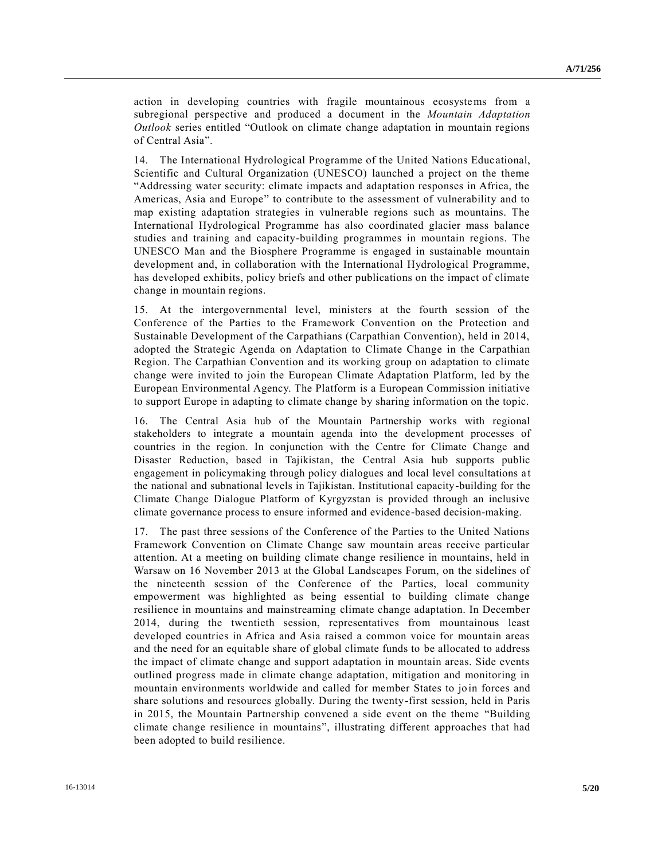action in developing countries with fragile mountainous ecosystems from a subregional perspective and produced a document in the *Mountain Adaptation Outlook* series entitled "Outlook on climate change adaptation in mountain regions of Central Asia".

14. The International Hydrological Programme of the United Nations Educ ational, Scientific and Cultural Organization (UNESCO) launched a project on the theme "Addressing water security: climate impacts and adaptation responses in Africa, the Americas, Asia and Europe" to contribute to the assessment of vulnerability and to map existing adaptation strategies in vulnerable regions such as mountains. The International Hydrological Programme has also coordinated glacier mass balance studies and training and capacity-building programmes in mountain regions. The UNESCO Man and the Biosphere Programme is engaged in sustainable mountain development and, in collaboration with the International Hydrological Programme, has developed exhibits, policy briefs and other publications on the impact of climate change in mountain regions.

15. At the intergovernmental level, ministers at the fourth session of the Conference of the Parties to the Framework Convention on the Protection and Sustainable Development of the Carpathians (Carpathian Convention), held in 2014, adopted the Strategic Agenda on Adaptation to Climate Change in the Carpathian Region. The Carpathian Convention and its working group on adaptation to climate change were invited to join the European Climate Adaptation Platform, led by the European Environmental Agency. The Platform is a European Commission initiative to support Europe in adapting to climate change by sharing information on the topic.

16. The Central Asia hub of the Mountain Partnership works with regional stakeholders to integrate a mountain agenda into the development processes of countries in the region. In conjunction with the Centre for Climate Change and Disaster Reduction, based in Tajikistan, the Central Asia hub supports public engagement in policymaking through policy dialogues and local level consultations a t the national and subnational levels in Tajikistan. Institutional capacity-building for the Climate Change Dialogue Platform of Kyrgyzstan is provided through an inclusive climate governance process to ensure informed and evidence-based decision-making.

17. The past three sessions of the Conference of the Parties to the United Nations Framework Convention on Climate Change saw mountain areas receive particular attention. At a meeting on building climate change resilience in mountains, held in Warsaw on 16 November 2013 at the Global Landscapes Forum, on the sidelines of the nineteenth session of the Conference of the Parties, local community empowerment was highlighted as being essential to building climate change resilience in mountains and mainstreaming climate change adaptation. In December 2014, during the twentieth session, representatives from mountainous least developed countries in Africa and Asia raised a common voice for mountain areas and the need for an equitable share of global climate funds to be allocated to address the impact of climate change and support adaptation in mountain areas. Side events outlined progress made in climate change adaptation, mitigation and monitoring in mountain environments worldwide and called for member States to join forces and share solutions and resources globally. During the twenty-first session, held in Paris in 2015, the Mountain Partnership convened a side event on the theme "Building climate change resilience in mountains", illustrating different approaches that had been adopted to build resilience.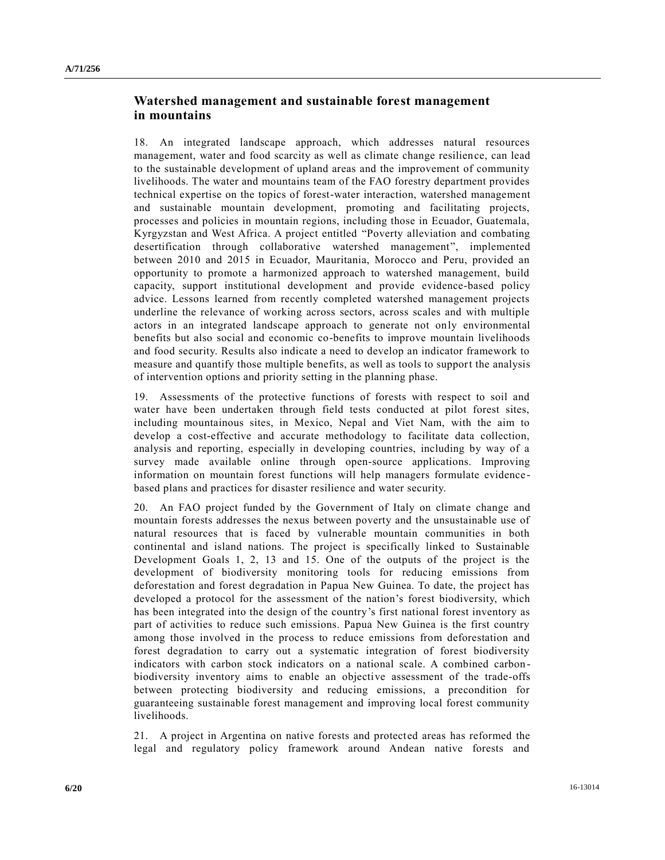## **Watershed management and sustainable forest management in mountains**

18. An integrated landscape approach, which addresses natural resources management, water and food scarcity as well as climate change resilience, can lead to the sustainable development of upland areas and the improvement of community livelihoods. The water and mountains team of the FAO forestry department provides technical expertise on the topics of forest-water interaction, watershed management and sustainable mountain development, promoting and facilitating projects, processes and policies in mountain regions, including those in Ecuador, Guatemala, Kyrgyzstan and West Africa. A project entitled "Poverty alleviation and combating desertification through collaborative watershed management", implemented between 2010 and 2015 in Ecuador, Mauritania, Morocco and Peru, provided an opportunity to promote a harmonized approach to watershed management, build capacity, support institutional development and provide evidence-based policy advice. Lessons learned from recently completed watershed management projects underline the relevance of working across sectors, across scales and with multiple actors in an integrated landscape approach to generate not only environmental benefits but also social and economic co-benefits to improve mountain livelihoods and food security. Results also indicate a need to develop an indicator framework to measure and quantify those multiple benefits, as well as tools to support the analysis of intervention options and priority setting in the planning phase.

19. Assessments of the protective functions of forests with respect to soil and water have been undertaken through field tests conducted at pilot forest sites, including mountainous sites, in Mexico, Nepal and Viet Nam, with the aim to develop a cost-effective and accurate methodology to facilitate data collection, analysis and reporting, especially in developing countries, including by way of a survey made available online through open-source applications. Improving information on mountain forest functions will help managers formulate evidence based plans and practices for disaster resilience and water security.

20. An FAO project funded by the Government of Italy on climate change and mountain forests addresses the nexus between poverty and the unsustainable use of natural resources that is faced by vulnerable mountain communities in both continental and island nations. The project is specifically linked to Sustainable Development Goals 1, 2, 13 and 15. One of the outputs of the project is the development of biodiversity monitoring tools for reducing emissions from deforestation and forest degradation in Papua New Guinea. To date, the project has developed a protocol for the assessment of the nation's forest biodiversity, which has been integrated into the design of the country's first national forest inventory as part of activities to reduce such emissions. Papua New Guinea is the first country among those involved in the process to reduce emissions from deforestation and forest degradation to carry out a systematic integration of forest biodiversity indicators with carbon stock indicators on a national scale. A combined carbon biodiversity inventory aims to enable an objective assessment of the trade-offs between protecting biodiversity and reducing emissions, a precondition for guaranteeing sustainable forest management and improving local forest community livelihoods.

21. A project in Argentina on native forests and protected areas has reformed the legal and regulatory policy framework around Andean native forests and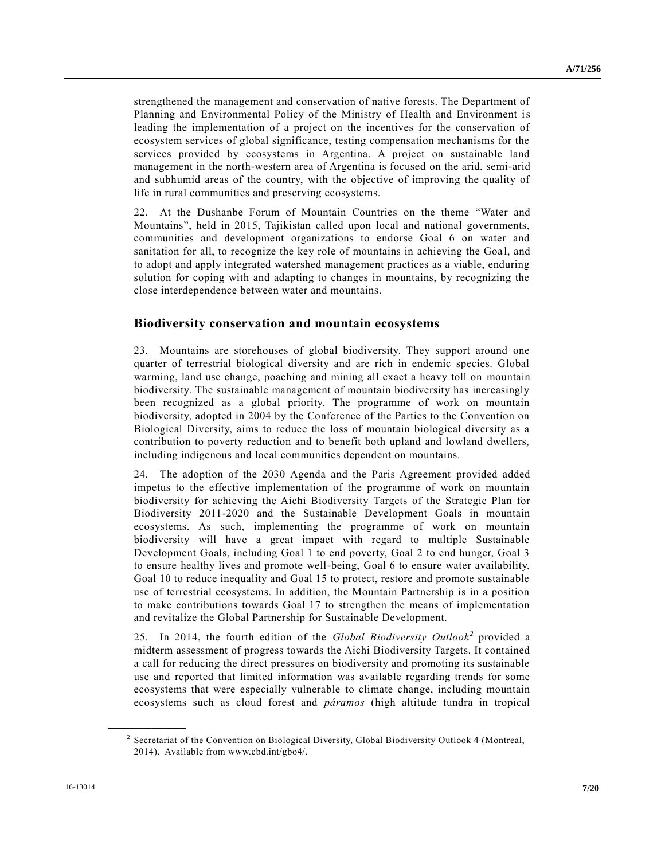strengthened the management and conservation of native forests. The Department of Planning and Environmental Policy of the Ministry of Health and Environment is leading the implementation of a project on the incentives for the conservation of ecosystem services of global significance, testing compensation mechanisms for the services provided by ecosystems in Argentina. A project on sustainable land management in the north-western area of Argentina is focused on the arid, semi-arid and subhumid areas of the country, with the objective of improving the quality of life in rural communities and preserving ecosystems.

22. At the Dushanbe Forum of Mountain Countries on the theme "Water and Mountains", held in 2015, Tajikistan called upon local and national governments, communities and development organizations to endorse Goal 6 on water and sanitation for all, to recognize the key role of mountains in achieving the Goal, and to adopt and apply integrated watershed management practices as a viable, enduring solution for coping with and adapting to changes in mountains, by recognizing the close interdependence between water and mountains.

### **Biodiversity conservation and mountain ecosystems**

23. Mountains are storehouses of global biodiversity. They support around one quarter of terrestrial biological diversity and are rich in endemic species. Global warming, land use change, poaching and mining all exact a heavy toll on mountain biodiversity. The sustainable management of mountain biodiversity has increasingly been recognized as a global priority. The programme of work on mountain biodiversity, adopted in 2004 by the Conference of the Parties to the Convention on Biological Diversity, aims to reduce the loss of mountain biological diversity as a contribution to poverty reduction and to benefit both upland and lowland dwellers, including indigenous and local communities dependent on mountains.

24. The adoption of the 2030 Agenda and the Paris Agreement provided added impetus to the effective implementation of the programme of work on mountain biodiversity for achieving the Aichi Biodiversity Targets of the Strategic Plan for Biodiversity 2011-2020 and the Sustainable Development Goals in mountain ecosystems. As such, implementing the programme of work on mountain biodiversity will have a great impact with regard to multiple Sustainable Development Goals, including Goal 1 to end poverty, Goal 2 to end hunger, Goal 3 to ensure healthy lives and promote well-being, Goal 6 to ensure water availability, Goal 10 to reduce inequality and Goal 15 to protect, restore and promote sustainable use of terrestrial ecosystems. In addition, the Mountain Partnership is in a position to make contributions towards Goal 17 to strengthen the means of implementation and revitalize the Global Partnership for Sustainable Development.

25. In 2014, the fourth edition of the *Global Biodiversity Outlook<sup>2</sup>* provided a midterm assessment of progress towards the Aichi Biodiversity Targets. It contained a call for reducing the direct pressures on biodiversity and promoting its sustainable use and reported that limited information was available regarding trends for some ecosystems that were especially vulnerable to climate change, including mountain ecosystems such as cloud forest and *páramos* (high altitude tundra in tropical

<sup>&</sup>lt;sup>2</sup> Secretariat of the Convention on Biological Diversity, Global Biodiversity Outlook 4 (Montreal, 2014). Available from www.cbd.int/gbo4/.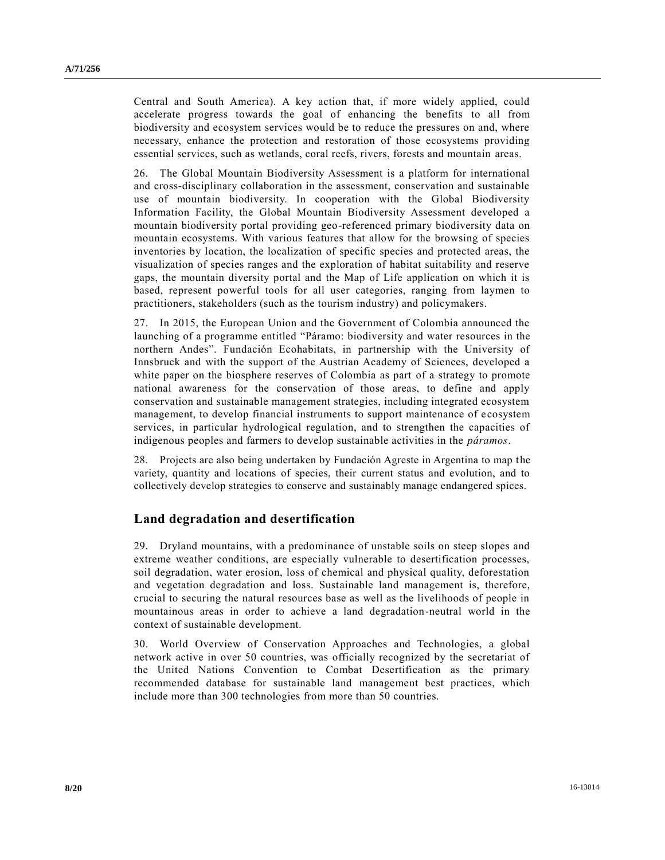Central and South America). A key action that, if more widely applied, could accelerate progress towards the goal of enhancing the benefits to all from biodiversity and ecosystem services would be to reduce the pressures on and, where necessary, enhance the protection and restoration of those ecosystems providing essential services, such as wetlands, coral reefs, rivers, forests and mountain areas.

26. The Global Mountain Biodiversity Assessment is a platform for international and cross-disciplinary collaboration in the assessment, conservation and sustainable use of mountain biodiversity. In cooperation with the Global Biodiversity Information Facility, the Global Mountain Biodiversity Assessment developed a mountain biodiversity portal providing geo-referenced primary biodiversity data on mountain ecosystems. With various features that allow for the browsing of species inventories by location, the localization of specific species and protected areas, the visualization of species ranges and the exploration of habitat suitability and reserve gaps, the mountain diversity portal and the Map of Life application on which it is based, represent powerful tools for all user categories, ranging from laymen to practitioners, stakeholders (such as the tourism industry) and policymakers.

27. In 2015, the European Union and the Government of Colombia announced the launching of a programme entitled "Páramo: biodiversity and water resources in the northern Andes". Fundación Ecohabitats, in partnership with the University of Innsbruck and with the support of the Austrian Academy of Sciences, developed a white paper on the biosphere reserves of Colombia as part of a strategy to promote national awareness for the conservation of those areas, to define and apply conservation and sustainable management strategies, including integrated ecosystem management, to develop financial instruments to support maintenance of e cosystem services, in particular hydrological regulation, and to strengthen the capacities of indigenous peoples and farmers to develop sustainable activities in the *páramos*.

28. Projects are also being undertaken by Fundación Agreste in Argentina to map the variety, quantity and locations of species, their current status and evolution, and to collectively develop strategies to conserve and sustainably manage endangered spices.

# **Land degradation and desertification**

29. Dryland mountains, with a predominance of unstable soils on steep slopes and extreme weather conditions, are especially vulnerable to desertification processes, soil degradation, water erosion, loss of chemical and physical quality, deforestation and vegetation degradation and loss. Sustainable land management is, therefore, crucial to securing the natural resources base as well as the livelihoods of people in mountainous areas in order to achieve a land degradation-neutral world in the context of sustainable development.

30. World Overview of Conservation Approaches and Technologies, a global network active in over 50 countries, was officially recognized by the secretariat of the United Nations Convention to Combat Desertification as the primary recommended database for sustainable land management best practices, which include more than 300 technologies from more than 50 countries.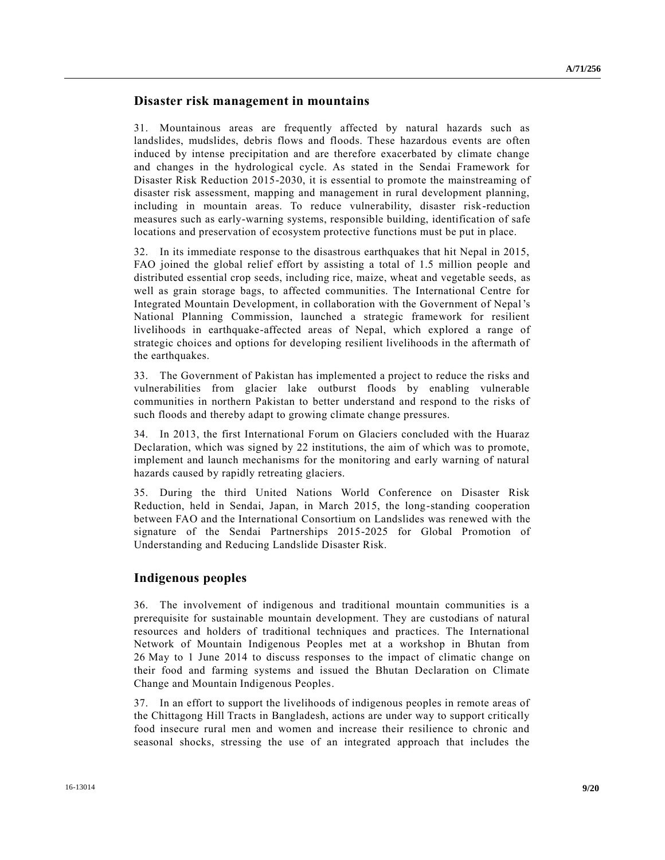## **Disaster risk management in mountains**

31. Mountainous areas are frequently affected by natural hazards such as landslides, mudslides, debris flows and floods. These hazardous events are often induced by intense precipitation and are therefore exacerbated by climate change and changes in the hydrological cycle. As stated in the Sendai Framework for Disaster Risk Reduction 2015-2030, it is essential to promote the mainstreaming of disaster risk assessment, mapping and management in rural development planning, including in mountain areas. To reduce vulnerability, disaster risk-reduction measures such as early-warning systems, responsible building, identification of safe locations and preservation of ecosystem protective functions must be put in place.

32. In its immediate response to the disastrous earthquakes that hit Nepal in 2015, FAO joined the global relief effort by assisting a total of 1.5 million people and distributed essential crop seeds, including rice, maize, wheat and vegetable seeds, as well as grain storage bags, to affected communities. The International Centre for Integrated Mountain Development, in collaboration with the Government of Nepal's National Planning Commission, launched a strategic framework for resilient livelihoods in earthquake-affected areas of Nepal, which explored a range of strategic choices and options for developing resilient livelihoods in the aftermath of the earthquakes.

33. The Government of Pakistan has implemented a project to reduce the risks and vulnerabilities from glacier lake outburst floods by enabling vulnerable communities in northern Pakistan to better understand and respond to the risks of such floods and thereby adapt to growing climate change pressures.

34. In 2013, the first International Forum on Glaciers concluded with the Huaraz Declaration, which was signed by 22 institutions, the aim of which was to promote, implement and launch mechanisms for the monitoring and early warning of natural hazards caused by rapidly retreating glaciers.

35. During the third United Nations World Conference on Disaster Risk Reduction, held in Sendai, Japan, in March 2015, the long-standing cooperation between FAO and the International Consortium on Landslides was renewed with the signature of the Sendai Partnerships 2015-2025 for Global Promotion of Understanding and Reducing Landslide Disaster Risk.

## **Indigenous peoples**

36. The involvement of indigenous and traditional mountain communities is a prerequisite for sustainable mountain development. They are custodians of natural resources and holders of traditional techniques and practices. The International Network of Mountain Indigenous Peoples met at a workshop in Bhutan from 26 May to 1 June 2014 to discuss responses to the impact of climatic change on their food and farming systems and issued the Bhutan Declaration on Climate Change and Mountain Indigenous Peoples.

37. In an effort to support the livelihoods of indigenous peoples in remote areas of the Chittagong Hill Tracts in Bangladesh, actions are under way to support critically food insecure rural men and women and increase their resilience to chronic and seasonal shocks, stressing the use of an integrated approach that includes the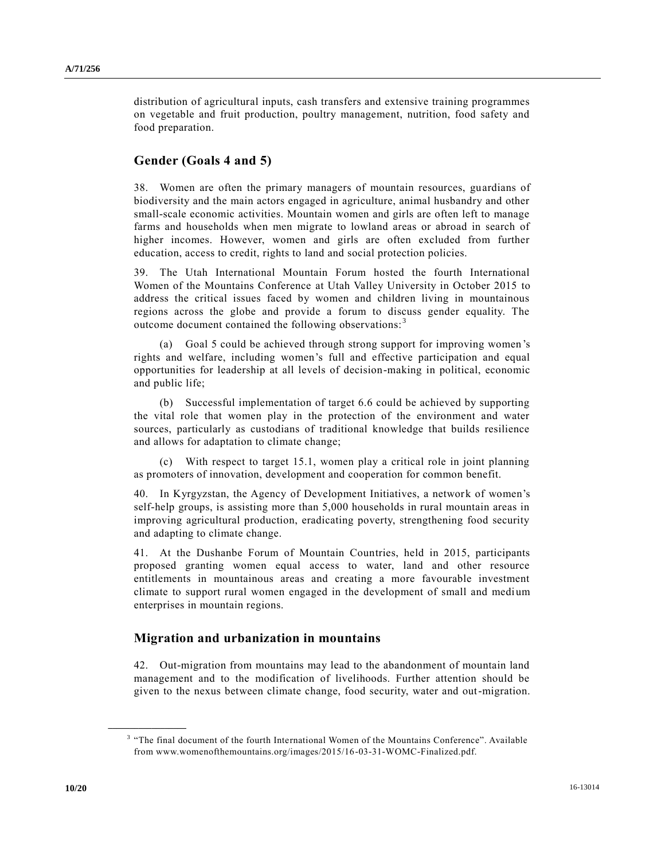distribution of agricultural inputs, cash transfers and extensive training programmes on vegetable and fruit production, poultry management, nutrition, food safety and food preparation.

## **Gender (Goals 4 and 5)**

38. Women are often the primary managers of mountain resources, guardians of biodiversity and the main actors engaged in agriculture, animal husbandry and other small-scale economic activities. Mountain women and girls are often left to manage farms and households when men migrate to lowland areas or abroad in search of higher incomes. However, women and girls are often excluded from further education, access to credit, rights to land and social protection policies.

39. The Utah International Mountain Forum hosted the fourth International Women of the Mountains Conference at Utah Valley University in October 2015 to address the critical issues faced by women and children living in mountainous regions across the globe and provide a forum to discuss gender equality. The outcome document contained the following observations: <sup>3</sup>

(a) Goal 5 could be achieved through strong support for improving women 's rights and welfare, including women's full and effective participation and equal opportunities for leadership at all levels of decision-making in political, economic and public life;

(b) Successful implementation of target 6.6 could be achieved by supporting the vital role that women play in the protection of the environment and water sources, particularly as custodians of traditional knowledge that builds resilience and allows for adaptation to climate change;

(c) With respect to target 15.1, women play a critical role in joint planning as promoters of innovation, development and cooperation for common benefit.

40. In Kyrgyzstan, the Agency of Development Initiatives, a network of women's self-help groups, is assisting more than 5,000 households in rural mountain areas in improving agricultural production, eradicating poverty, strengthening food security and adapting to climate change.

41. At the Dushanbe Forum of Mountain Countries, held in 2015, participants proposed granting women equal access to water, land and other resource entitlements in mountainous areas and creating a more favourable investment climate to support rural women engaged in the development of small and medium enterprises in mountain regions.

## **Migration and urbanization in mountains**

42. Out-migration from mountains may lead to the abandonment of mountain land management and to the modification of livelihoods. Further attention should be given to the nexus between climate change, food security, water and out-migration.

<sup>&</sup>lt;sup>3</sup> "The final document of the fourth International Women of the Mountains Conference". Available from www.womenofthemountains.org/images/2015/16-03-31-WOMC-Finalized.pdf.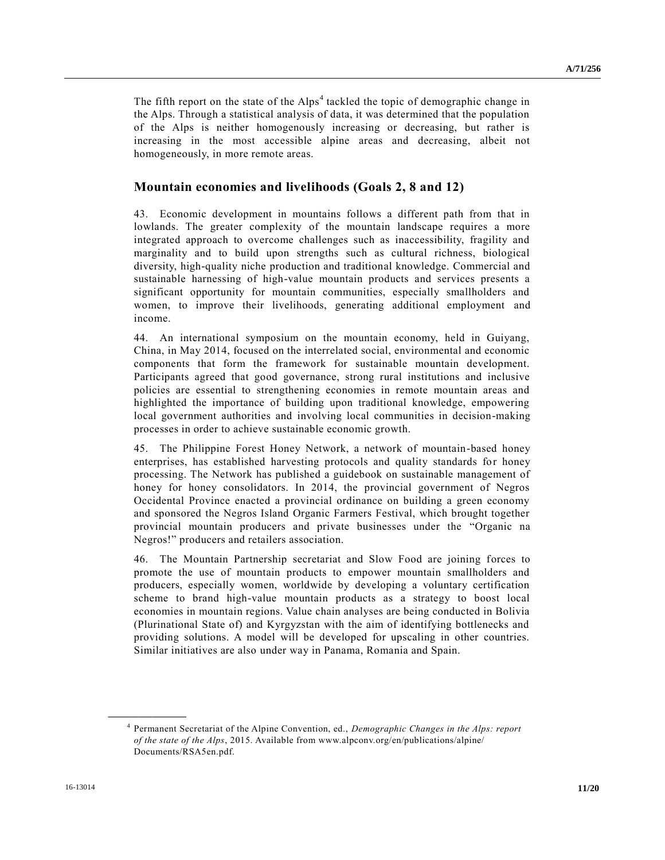The fifth report on the state of the  $Alps<sup>4</sup>$  tackled the topic of demographic change in the Alps. Through a statistical analysis of data, it was determined that the population of the Alps is neither homogenously increasing or decreasing, but rather is increasing in the most accessible alpine areas and decreasing, albeit not homogeneously, in more remote areas.

## **Mountain economies and livelihoods (Goals 2, 8 and 12)**

43. Economic development in mountains follows a different path from that in lowlands. The greater complexity of the mountain landscape requires a more integrated approach to overcome challenges such as inaccessibility, fragility and marginality and to build upon strengths such as cultural richness, biological diversity, high-quality niche production and traditional knowledge. Commercial and sustainable harnessing of high-value mountain products and services presents a significant opportunity for mountain communities, especially smallholders and women, to improve their livelihoods, generating additional employment and income.

44. An international symposium on the mountain economy, held in Guiyang, China, in May 2014, focused on the interrelated social, environmental and economic components that form the framework for sustainable mountain development. Participants agreed that good governance, strong rural institutions and inclusive policies are essential to strengthening economies in remote mountain areas and highlighted the importance of building upon traditional knowledge, empowering local government authorities and involving local communities in decision-making processes in order to achieve sustainable economic growth.

45. The Philippine Forest Honey Network, a network of mountain-based honey enterprises, has established harvesting protocols and quality standards for honey processing. The Network has published a guidebook on sustainable management of honey for honey consolidators. In 2014, the provincial government of Negros Occidental Province enacted a provincial ordinance on building a green economy and sponsored the Negros Island Organic Farmers Festival, which brought together provincial mountain producers and private businesses under the "Organic na Negros!" producers and retailers association.

46. The Mountain Partnership secretariat and Slow Food are joining forces to promote the use of mountain products to empower mountain smallholders and producers, especially women, worldwide by developing a voluntary certification scheme to brand high-value mountain products as a strategy to boost local economies in mountain regions. Value chain analyses are being conducted in Bolivia (Plurinational State of) and Kyrgyzstan with the aim of identifying bottlenecks and providing solutions. A model will be developed for upscaling in other countries. Similar initiatives are also under way in Panama, Romania and Spain.

<sup>4</sup> Permanent Secretariat of the Alpine Convention, ed., *Demographic Changes in the Alps: report of the state of the Alps*, 2015. Available from www.alpconv.org/en/publications/alpine/ Documents/RSA5en.pdf.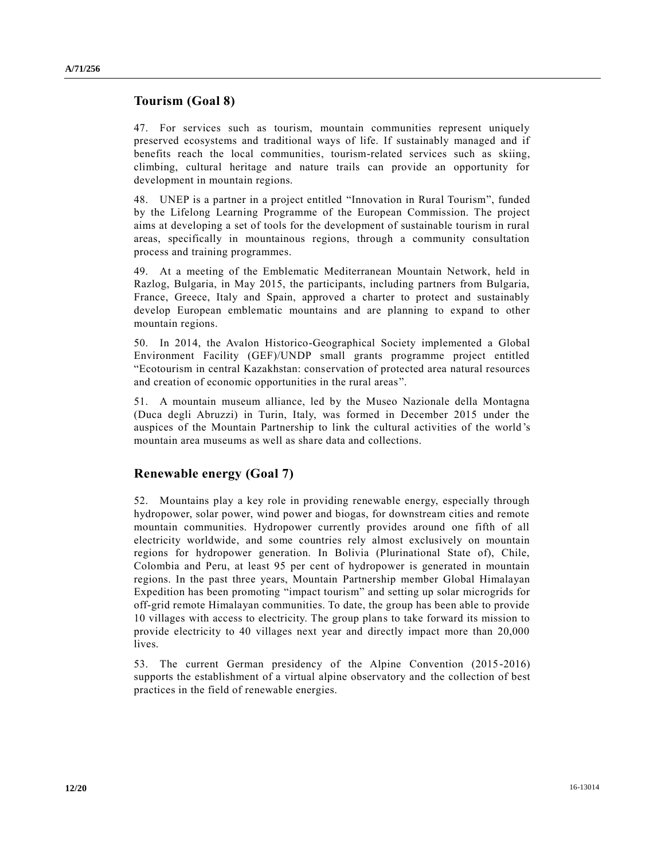## **Tourism (Goal 8)**

47. For services such as tourism, mountain communities represent uniquely preserved ecosystems and traditional ways of life. If sustainably managed and if benefits reach the local communities, tourism-related services such as skiing, climbing, cultural heritage and nature trails can provide an opportunity for development in mountain regions.

48. UNEP is a partner in a project entitled "Innovation in Rural Tourism", funded by the Lifelong Learning Programme of the European Commission. The project aims at developing a set of tools for the development of sustainable tourism in rural areas, specifically in mountainous regions, through a community consultation process and training programmes.

49. At a meeting of the Emblematic Mediterranean Mountain Network, held in Razlog, Bulgaria, in May 2015, the participants, including partners from Bulgaria, France, Greece, Italy and Spain, approved a charter to protect and sustainably develop European emblematic mountains and are planning to expand to other mountain regions.

50. In 2014, the Avalon Historico-Geographical Society implemented a Global Environment Facility (GEF)/UNDP small grants programme project entitled "Ecotourism in central Kazakhstan: conservation of protected area natural resources and creation of economic opportunities in the rural areas".

51. A mountain museum alliance, led by the Museo Nazionale della Montagna (Duca degli Abruzzi) in Turin, Italy, was formed in December 2015 under the auspices of the Mountain Partnership to link the cultural activities of the world 's mountain area museums as well as share data and collections.

## **Renewable energy (Goal 7)**

52. Mountains play a key role in providing renewable energy, especially through hydropower, solar power, wind power and biogas, for downstream cities and remote mountain communities. Hydropower currently provides around one fifth of all electricity worldwide, and some countries rely almost exclusively on mountain regions for hydropower generation. In Bolivia (Plurinational State of), Chile, Colombia and Peru, at least 95 per cent of hydropower is generated in mountain regions. In the past three years, Mountain Partnership member Global Himalayan Expedition has been promoting "impact tourism" and setting up solar microgrids for off-grid remote Himalayan communities. To date, the group has been able to provide 10 villages with access to electricity. The group plans to take forward its mission to provide electricity to 40 villages next year and directly impact more than 20,000 lives.

53. The current German presidency of the Alpine Convention (2015-2016) supports the establishment of a virtual alpine observatory and the collection of best practices in the field of renewable energies.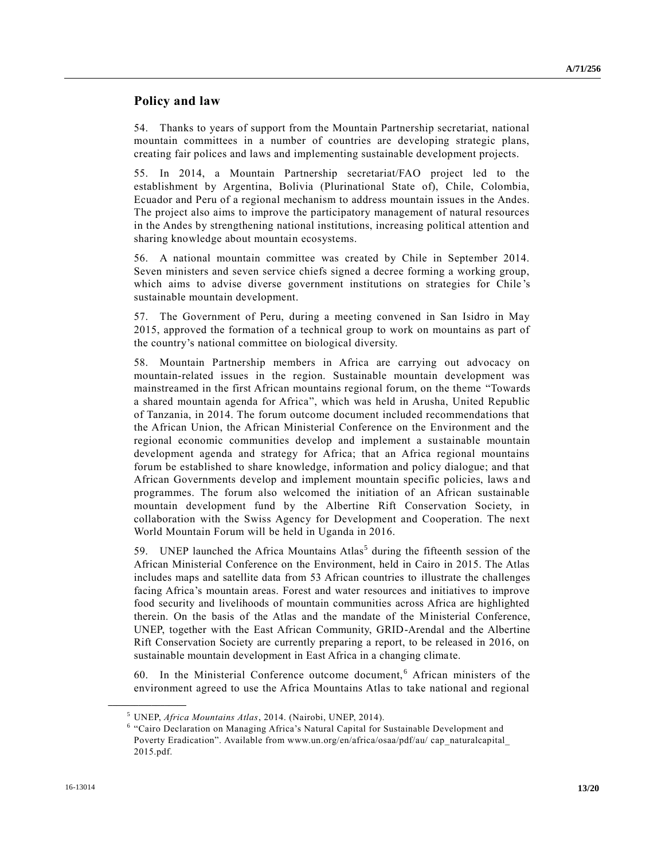## **Policy and law**

54. Thanks to years of support from the Mountain Partnership secretariat, national mountain committees in a number of countries are developing strategic plans, creating fair polices and laws and implementing sustainable development projects.

55. In 2014, a Mountain Partnership secretariat/FAO project led to the establishment by Argentina, Bolivia (Plurinational State of), Chile, Colombia, Ecuador and Peru of a regional mechanism to address mountain issues in the Andes. The project also aims to improve the participatory management of natural resources in the Andes by strengthening national institutions, increasing political attention and sharing knowledge about mountain ecosystems.

56. A national mountain committee was created by Chile in September 2014. Seven ministers and seven service chiefs signed a decree forming a working group, which aims to advise diverse government institutions on strategies for Chile 's sustainable mountain development.

57. The Government of Peru, during a meeting convened in San Isidro in May 2015, approved the formation of a technical group to work on mountains as part of the country's national committee on biological diversity.

58. Mountain Partnership members in Africa are carrying out advocacy on mountain-related issues in the region. Sustainable mountain development was mainstreamed in the first African mountains regional forum, on the theme "Towards a shared mountain agenda for Africa", which was held in Arusha, United Republic of Tanzania, in 2014. The forum outcome document included recommendations that the African Union, the African Ministerial Conference on the Environment and the regional economic communities develop and implement a sustainable mountain development agenda and strategy for Africa; that an Africa regional mountains forum be established to share knowledge, information and policy dialogue; and that African Governments develop and implement mountain specific policies, laws a nd programmes. The forum also welcomed the initiation of an African sustainable mountain development fund by the Albertine Rift Conservation Society, in collaboration with the Swiss Agency for Development and Cooperation. The next World Mountain Forum will be held in Uganda in 2016.

59. UNEP launched the Africa Mountains Atlas<sup>5</sup> during the fifteenth session of the African Ministerial Conference on the Environment, held in Cairo in 2015. The Atlas includes maps and satellite data from 53 African countries to illustrate the challenges facing Africa's mountain areas. Forest and water resources and initiatives to improve food security and livelihoods of mountain communities across Africa are highlighted therein. On the basis of the Atlas and the mandate of the Ministerial Conference, UNEP, together with the East African Community, GRID-Arendal and the Albertine Rift Conservation Society are currently preparing a report, to be released in 2016, on sustainable mountain development in East Africa in a changing climate.

60. In the Ministerial Conference outcome document, <sup>6</sup> African ministers of the environment agreed to use the Africa Mountains Atlas to take national and regional

<sup>5</sup> UNEP, *Africa Mountains Atlas*, 2014. (Nairobi, UNEP, 2014).

<sup>&</sup>lt;sup>6</sup> "Cairo Declaration on Managing Africa's Natural Capital for Sustainable Development and Poverty Eradication". Available from www.un.org/en/africa/osaa/pdf/au/ cap\_naturalcapital 2015.pdf.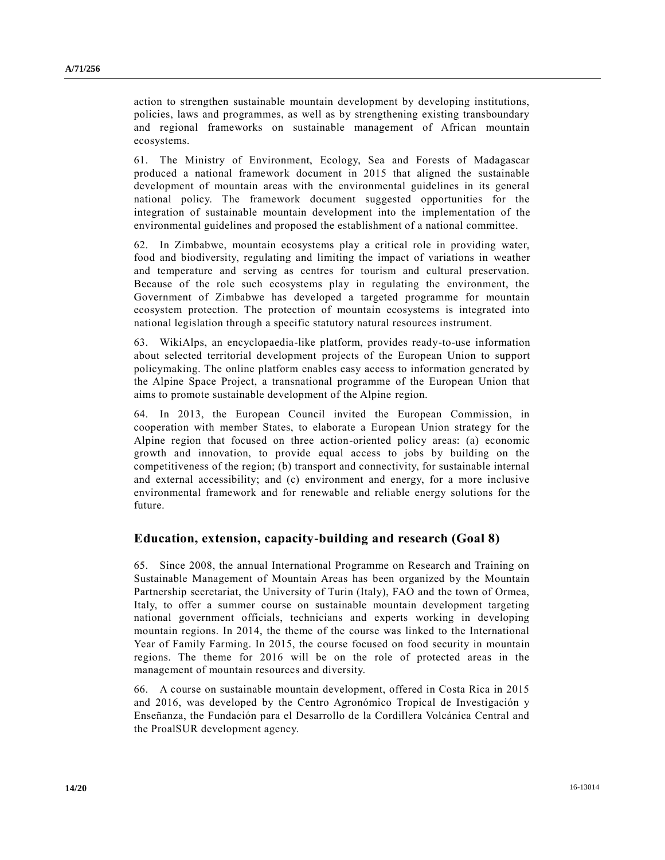action to strengthen sustainable mountain development by developing institutions, policies, laws and programmes, as well as by strengthening existing transboundary and regional frameworks on sustainable management of African mountain ecosystems.

61. The Ministry of Environment, Ecology, Sea and Forests of Madagascar produced a national framework document in 2015 that aligned the sustainable development of mountain areas with the environmental guidelines in its general national policy. The framework document suggested opportunities for the integration of sustainable mountain development into the implementation of the environmental guidelines and proposed the establishment of a national committee.

62. In Zimbabwe, mountain ecosystems play a critical role in providing water, food and biodiversity, regulating and limiting the impact of variations in weather and temperature and serving as centres for tourism and cultural preservation. Because of the role such ecosystems play in regulating the environment, the Government of Zimbabwe has developed a targeted programme for mountain ecosystem protection. The protection of mountain ecosystems is integrated into national legislation through a specific statutory natural resources instrument.

63. WikiAlps, an encyclopaedia-like platform, provides ready-to-use information about selected territorial development projects of the European Union to support policymaking. The online platform enables easy access to information generated by the Alpine Space Project, a transnational programme of the European Union that aims to promote sustainable development of the Alpine region.

64. In 2013, the European Council invited the European Commission, in cooperation with member States, to elaborate a European Union strategy for the Alpine region that focused on three action-oriented policy areas: (a) economic growth and innovation, to provide equal access to jobs by building on the competitiveness of the region; (b) transport and connectivity, for sustainable internal and external accessibility; and (c) environment and energy, for a more inclusive environmental framework and for renewable and reliable energy solutions for the future.

## **Education, extension, capacity-building and research (Goal 8)**

65. Since 2008, the annual International Programme on Research and Training on Sustainable Management of Mountain Areas has been organized by the Mountain Partnership secretariat, the University of Turin (Italy), FAO and the town of Ormea, Italy, to offer a summer course on sustainable mountain development targeting national government officials, technicians and experts working in developing mountain regions. In 2014, the theme of the course was linked to the International Year of Family Farming. In 2015, the course focused on food security in mountain regions. The theme for 2016 will be on the role of protected areas in the management of mountain resources and diversity.

66. A course on sustainable mountain development, offered in Costa Rica in 2015 and 2016, was developed by the Centro Agronómico Tropical de Investigación y Enseñanza, the Fundación para el Desarrollo de la Cordillera Volcánica Central and the ProalSUR development agency.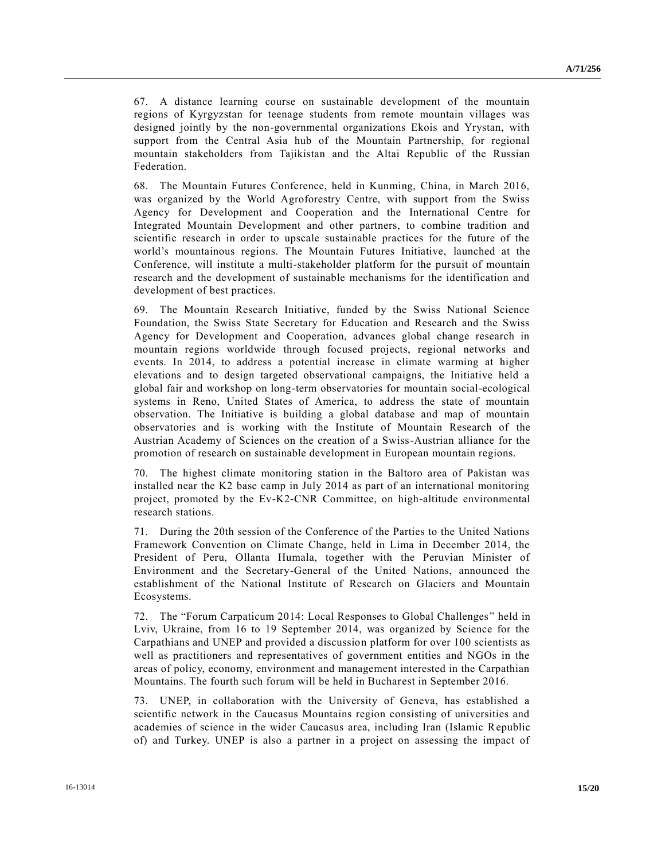67. A distance learning course on sustainable development of the mountain regions of Kyrgyzstan for teenage students from remote mountain villages was designed jointly by the non-governmental organizations Ekois and Yrystan, with support from the Central Asia hub of the Mountain Partnership, for regional mountain stakeholders from Tajikistan and the Altai Republic of the Russian Federation.

68. The Mountain Futures Conference, held in Kunming, China, in March 2016, was organized by the World Agroforestry Centre, with support from the Swiss Agency for Development and Cooperation and the International Centre for Integrated Mountain Development and other partners, to combine tradition and scientific research in order to upscale sustainable practices for the future of the world's mountainous regions. The Mountain Futures Initiative, launched at the Conference, will institute a multi-stakeholder platform for the pursuit of mountain research and the development of sustainable mechanisms for the identification and development of best practices.

69. The Mountain Research Initiative, funded by the Swiss National Science Foundation, the Swiss State Secretary for Education and Research and the Swiss Agency for Development and Cooperation, advances global change research in mountain regions worldwide through focused projects, regional networks and events. In 2014, to address a potential increase in climate warming at higher elevations and to design targeted observational campaigns, the Initiative held a global fair and workshop on long-term observatories for mountain social-ecological systems in Reno, United States of America, to address the state of mountain observation. The Initiative is building a global database and map of mountain observatories and is working with the Institute of Mountain Research of the Austrian Academy of Sciences on the creation of a Swiss-Austrian alliance for the promotion of research on sustainable development in European mountain regions.

70. The highest climate monitoring station in the Baltoro area of Pakistan was installed near the K2 base camp in July 2014 as part of an international monitoring project, promoted by the Ev-K2-CNR Committee, on high-altitude environmental research stations.

71. During the 20th session of the Conference of the Parties to the United Nations Framework Convention on Climate Change, held in Lima in December 2014, the President of Peru, Ollanta Humala, together with the Peruvian Minister of Environment and the Secretary-General of the United Nations, announced the establishment of the National Institute of Research on Glaciers and Mountain Ecosystems.

72. The "Forum Carpaticum 2014: Local Responses to Global Challenges" held in Lviv, Ukraine, from 16 to 19 September 2014, was organized by Science for the Carpathians and UNEP and provided a discussion platform for over 100 scientists as well as practitioners and representatives of government entities and NGOs in the areas of policy, economy, environment and management interested in the Carpathian Mountains. The fourth such forum will be held in Bucharest in September 2016.

73. UNEP, in collaboration with the University of Geneva, has established a scientific network in the Caucasus Mountains region consisting of universities and academies of science in the wider Caucasus area, including Iran (Islamic Republic of) and Turkey. UNEP is also a partner in a project on assessing the impact of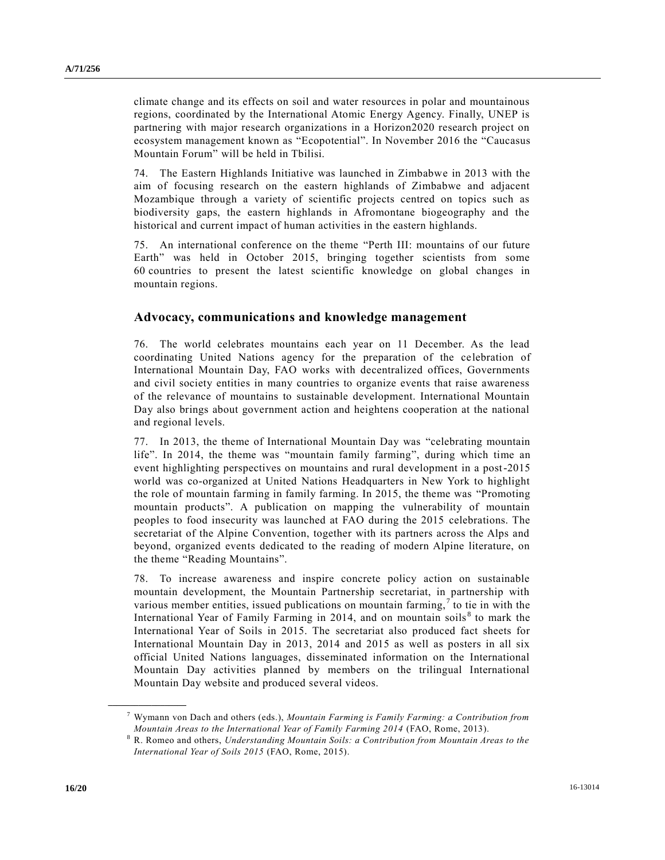climate change and its effects on soil and water resources in polar and mountainous regions, coordinated by the International Atomic Energy Agency. Finally, UNEP is partnering with major research organizations in a Horizon2020 research project on ecosystem management known as "Ecopotential". In November 2016 the "Caucasus Mountain Forum" will be held in Tbilisi.

74. The Eastern Highlands Initiative was launched in Zimbabwe in 2013 with the aim of focusing research on the eastern highlands of Zimbabwe and adjacent Mozambique through a variety of scientific projects centred on topics such as biodiversity gaps, the eastern highlands in Afromontane biogeography and the historical and current impact of human activities in the eastern highlands.

75. An international conference on the theme "Perth III: mountains of our future Earth" was held in October 2015, bringing together scientists from some 60 countries to present the latest scientific knowledge on global changes in mountain regions.

## **Advocacy, communications and knowledge management**

76. The world celebrates mountains each year on 11 December. As the lead coordinating United Nations agency for the preparation of the celebration of International Mountain Day, FAO works with decentralized offices, Governments and civil society entities in many countries to organize events that raise awareness of the relevance of mountains to sustainable development. International Mountain Day also brings about government action and heightens cooperation at the national and regional levels.

77. In 2013, the theme of International Mountain Day was "celebrating mountain life". In 2014, the theme was "mountain family farming", during which time an event highlighting perspectives on mountains and rural development in a post-2015 world was co-organized at United Nations Headquarters in New York to highlight the role of mountain farming in family farming. In 2015, the theme was "Promoting mountain products". A publication on mapping the vulnerability of mountain peoples to food insecurity was launched at FAO during the 2015 celebrations. The secretariat of the Alpine Convention, together with its partners across the Alps and beyond, organized events dedicated to the reading of modern Alpine literature, on the theme "Reading Mountains".

78. To increase awareness and inspire concrete policy action on sustainable mountain development, the Mountain Partnership secretariat, in partnership with various member entities, issued publications on mountain farming,  $\tau$  to tie in with the International Year of Family Farming in 2014, and on mountain soils<sup>8</sup> to mark the International Year of Soils in 2015. The secretariat also produced fact sheets for International Mountain Day in 2013, 2014 and 2015 as well as posters in all six official United Nations languages, disseminated information on the International Mountain Day activities planned by members on the trilingual International Mountain Day website and produced several videos.

<sup>7</sup> Wymann von Dach and others (eds.), *Mountain Farming is Family Farming: a Contribution from Mountain Areas to the International Year of Family Farming 2014* (FAO, Rome, 2013).

<sup>8</sup> R. Romeo and others, *Understanding Mountain Soils: a Contribution from Mountain Areas to the International Year of Soils 2015* (FAO, Rome, 2015).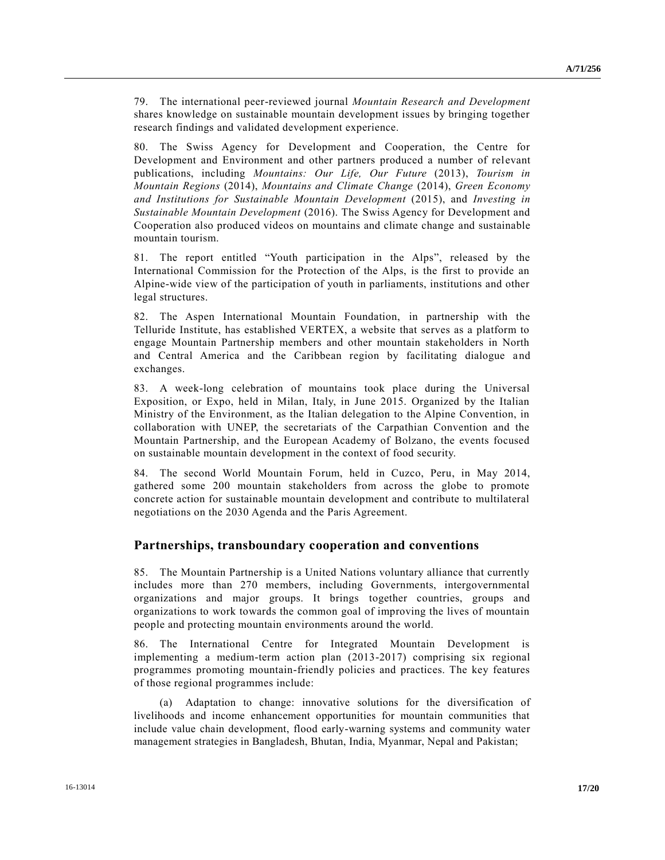79. The international peer-reviewed journal *Mountain Research and Development*  shares knowledge on sustainable mountain development issues by bringing together research findings and validated development experience.

80. The Swiss Agency for Development and Cooperation, the Centre for Development and Environment and other partners produced a number of relevant publications, including *Mountains: Our Life, Our Future* (2013), *Tourism in Mountain Regions* (2014), *Mountains and Climate Change* (2014), *Green Economy and Institutions for Sustainable Mountain Development* (2015), and *Investing in Sustainable Mountain Development* (2016). The Swiss Agency for Development and Cooperation also produced videos on mountains and climate change and sustainable mountain tourism.

81. The report entitled "Youth participation in the Alps", released by the International Commission for the Protection of the Alps, is the first to provide an Alpine-wide view of the participation of youth in parliaments, institutions and other legal structures.

82. The Aspen International Mountain Foundation, in partnership with the Telluride Institute, has established VERTEX, a website that serves as a platform to engage Mountain Partnership members and other mountain stakeholders in North and Central America and the Caribbean region by facilitating dialogue and exchanges.

83. A week-long celebration of mountains took place during the Universal Exposition, or Expo, held in Milan, Italy, in June 2015. Organized by the Italian Ministry of the Environment, as the Italian delegation to the Alpine Convention, in collaboration with UNEP, the secretariats of the Carpathian Convention and the Mountain Partnership, and the European Academy of Bolzano, the events focused on sustainable mountain development in the context of food security.

84. The second World Mountain Forum, held in Cuzco, Peru, in May 2014, gathered some 200 mountain stakeholders from across the globe to promote concrete action for sustainable mountain development and contribute to multilateral negotiations on the 2030 Agenda and the Paris Agreement.

## **Partnerships, transboundary cooperation and conventions**

85. The Mountain Partnership is a United Nations voluntary alliance that currently includes more than 270 members, including Governments, intergovernmental organizations and major groups. It brings together countries, groups and organizations to work towards the common goal of improving the lives of mountain people and protecting mountain environments around the world.

86. The International Centre for Integrated Mountain Development is implementing a medium-term action plan (2013-2017) comprising six regional programmes promoting mountain-friendly policies and practices. The key features of those regional programmes include:

(a) Adaptation to change: innovative solutions for the diversification of livelihoods and income enhancement opportunities for mountain communities that include value chain development, flood early-warning systems and community water management strategies in Bangladesh, Bhutan, India, Myanmar, Nepal and Pakistan;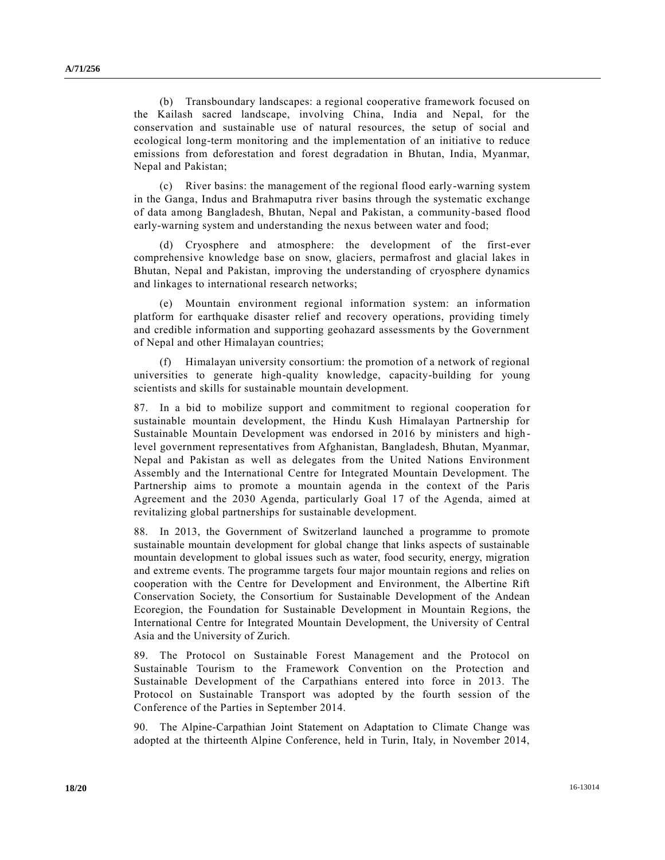(b) Transboundary landscapes: a regional cooperative framework focused on the Kailash sacred landscape, involving China, India and Nepal, for the conservation and sustainable use of natural resources, the setup of social and ecological long-term monitoring and the implementation of an initiative to reduce emissions from deforestation and forest degradation in Bhutan, India, Myanmar, Nepal and Pakistan;

(c) River basins: the management of the regional flood early-warning system in the Ganga, Indus and Brahmaputra river basins through the systematic exchange of data among Bangladesh, Bhutan, Nepal and Pakistan, a community-based flood early-warning system and understanding the nexus between water and food;

(d) Cryosphere and atmosphere: the development of the first-ever comprehensive knowledge base on snow, glaciers, permafrost and glacial lakes in Bhutan, Nepal and Pakistan, improving the understanding of cryosphere dynamics and linkages to international research networks;

(e) Mountain environment regional information system: an information platform for earthquake disaster relief and recovery operations, providing timely and credible information and supporting geohazard assessments by the Government of Nepal and other Himalayan countries;

(f) Himalayan university consortium: the promotion of a network of regional universities to generate high-quality knowledge, capacity-building for young scientists and skills for sustainable mountain development.

87. In a bid to mobilize support and commitment to regional cooperation for sustainable mountain development, the Hindu Kush Himalayan Partnership for Sustainable Mountain Development was endorsed in 2016 by ministers and high level government representatives from Afghanistan, Bangladesh, Bhutan, Myanmar, Nepal and Pakistan as well as delegates from the United Nations Environment Assembly and the International Centre for Integrated Mountain Development. The Partnership aims to promote a mountain agenda in the context of the Paris Agreement and the 2030 Agenda, particularly Goal 17 of the Agenda, aimed at revitalizing global partnerships for sustainable development.

88. In 2013, the Government of Switzerland launched a programme to promote sustainable mountain development for global change that links aspects of sustainable mountain development to global issues such as water, food security, energy, migration and extreme events. The programme targets four major mountain regions and relies on cooperation with the Centre for Development and Environment, the Albertine Rift Conservation Society, the Consortium for Sustainable Development of the Andean Ecoregion, the Foundation for Sustainable Development in Mountain Regions, the International Centre for Integrated Mountain Development, the University of Central Asia and the University of Zurich.

89. The Protocol on Sustainable Forest Management and the Protocol on Sustainable Tourism to the Framework Convention on the Protection and Sustainable Development of the Carpathians entered into force in 2013. The Protocol on Sustainable Transport was adopted by the fourth session of the Conference of the Parties in September 2014.

90. The Alpine-Carpathian Joint Statement on Adaptation to Climate Change was adopted at the thirteenth Alpine Conference, held in Turin, Italy, in November 2014,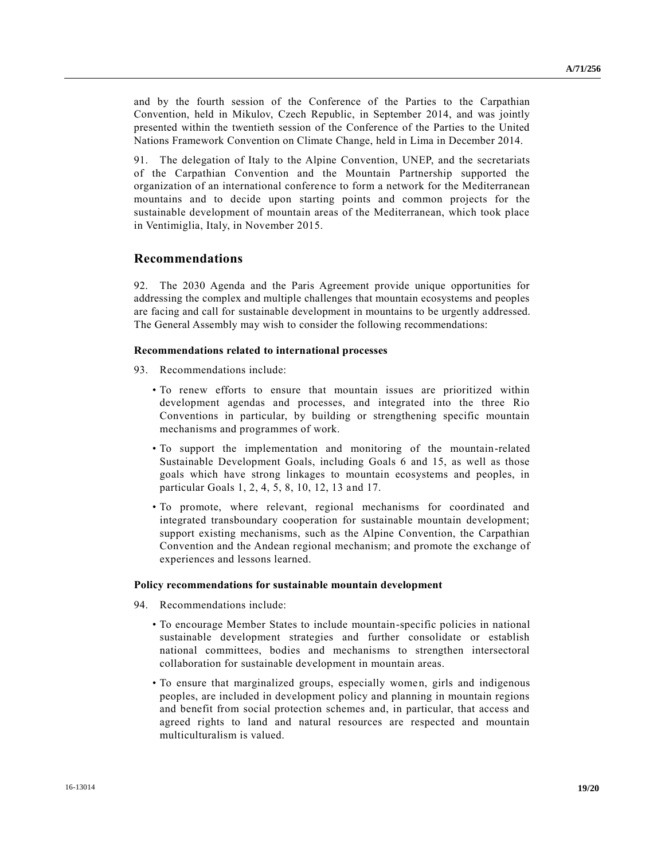and by the fourth session of the Conference of the Parties to the Carpathian Convention, held in Mikulov, Czech Republic, in September 2014, and was jointly presented within the twentieth session of the Conference of the Parties to the United Nations Framework Convention on Climate Change, held in Lima in December 2014.

91. The delegation of Italy to the Alpine Convention, UNEP, and the secretariats of the Carpathian Convention and the Mountain Partnership supported the organization of an international conference to form a network for the Mediterranean mountains and to decide upon starting points and common projects for the sustainable development of mountain areas of the Mediterranean, which took place in Ventimiglia, Italy, in November 2015.

## **Recommendations**

92. The 2030 Agenda and the Paris Agreement provide unique opportunities for addressing the complex and multiple challenges that mountain ecosystems and peoples are facing and call for sustainable development in mountains to be urgently addressed. The General Assembly may wish to consider the following recommendations:

#### **Recommendations related to international processes**

- 93. Recommendations include:
	- To renew efforts to ensure that mountain issues are prioritized within development agendas and processes, and integrated into the three Rio Conventions in particular, by building or strengthening specific mountain mechanisms and programmes of work.
	- To support the implementation and monitoring of the mountain-related Sustainable Development Goals, including Goals 6 and 15, as well as those goals which have strong linkages to mountain ecosystems and peoples, in particular Goals 1, 2, 4, 5, 8, 10, 12, 13 and 17.
	- To promote, where relevant, regional mechanisms for coordinated and integrated transboundary cooperation for sustainable mountain development; support existing mechanisms, such as the Alpine Convention, the Carpathian Convention and the Andean regional mechanism; and promote the exchange of experiences and lessons learned.

#### **Policy recommendations for sustainable mountain development**

- 94. Recommendations include:
	- To encourage Member States to include mountain-specific policies in national sustainable development strategies and further consolidate or establish national committees, bodies and mechanisms to strengthen intersectoral collaboration for sustainable development in mountain areas.
	- To ensure that marginalized groups, especially women, girls and indigenous peoples, are included in development policy and planning in mountain regions and benefit from social protection schemes and, in particular, that access and agreed rights to land and natural resources are respected and mountain multiculturalism is valued.